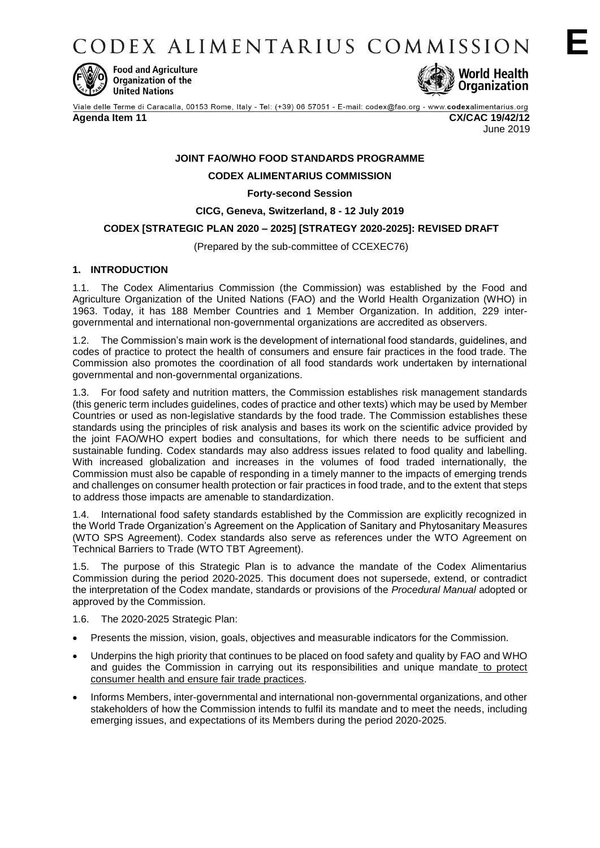CODEX ALIMENTARIUS COMMISSION



**Food and Agriculture** Organization of the **United Nations** 



Viale delle Terme di Caracalla, 00153 Rome, Italy - Tel: (+39) 06 57051 - E-mail: codex@fao.org - www.codexalimentarius.org **Agenda Item 11 CX/CAC 19/42/12**

June 2019

**E**

# **JOINT FAO/WHO FOOD STANDARDS PROGRAMME**

# **CODEX ALIMENTARIUS COMMISSION**

**Forty-second Session**

### **CICG, Geneva, Switzerland, 8 - 12 July 2019**

## **CODEX [STRATEGIC PLAN 2020 – 2025] [STRATEGY 2020-2025]: REVISED DRAFT**

(Prepared by the sub-committee of CCEXEC76)

## **1. INTRODUCTION**

1.1. The Codex Alimentarius Commission (the Commission) was established by the Food and Agriculture Organization of the United Nations (FAO) and the World Health Organization (WHO) in 1963. Today, it has 188 Member Countries and 1 Member Organization. In addition, 229 intergovernmental and international non-governmental organizations are accredited as observers.

1.2. The Commission's main work is the development of international food standards, guidelines, and codes of practice to protect the health of consumers and ensure fair practices in the food trade. The Commission also promotes the coordination of all food standards work undertaken by international governmental and non-governmental organizations.

1.3. For food safety and nutrition matters, the Commission establishes risk management standards (this generic term includes guidelines, codes of practice and other texts) which may be used by Member Countries or used as non-legislative standards by the food trade. The Commission establishes these standards using the principles of risk analysis and bases its work on the scientific advice provided by the joint FAO/WHO expert bodies and consultations, for which there needs to be sufficient and sustainable funding. Codex standards may also address issues related to food quality and labelling. With increased globalization and increases in the volumes of food traded internationally, the Commission must also be capable of responding in a timely manner to the impacts of emerging trends and challenges on consumer health protection or fair practices in food trade, and to the extent that steps to address those impacts are amenable to standardization.

1.4. International food safety standards established by the Commission are explicitly recognized in the World Trade Organization's Agreement on the Application of Sanitary and Phytosanitary Measures (WTO SPS Agreement). Codex standards also serve as references under the WTO Agreement on Technical Barriers to Trade (WTO TBT Agreement).

1.5. The purpose of this Strategic Plan is to advance the mandate of the Codex Alimentarius Commission during the period 2020-2025. This document does not supersede, extend, or contradict the interpretation of the Codex mandate, standards or provisions of the *Procedural Manual* adopted or approved by the Commission.

1.6. The 2020-2025 Strategic Plan:

- Presents the mission, vision, goals, objectives and measurable indicators for the Commission.
- Underpins the high priority that continues to be placed on food safety and quality by FAO and WHO and guides the Commission in carrying out its responsibilities and unique mandate to protect consumer health and ensure fair trade practices.
- Informs Members, inter-governmental and international non-governmental organizations, and other stakeholders of how the Commission intends to fulfil its mandate and to meet the needs, including emerging issues, and expectations of its Members during the period 2020-2025.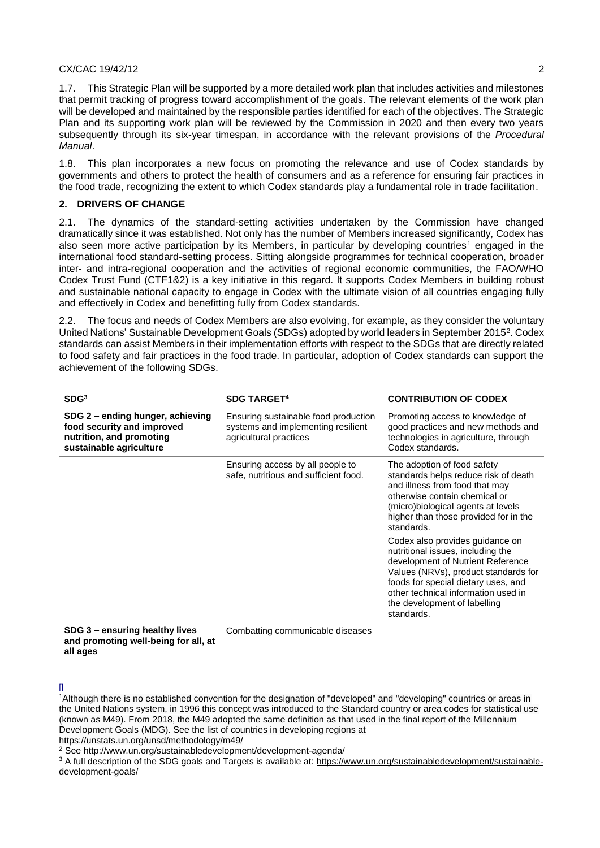1.7. This Strategic Plan will be supported by a more detailed work plan that includes activities and milestones that permit tracking of progress toward accomplishment of the goals. The relevant elements of the work plan will be developed and maintained by the responsible parties identified for each of the objectives. The Strategic Plan and its supporting work plan will be reviewed by the Commission in 2020 and then every two years subsequently through its six-year timespan, in accordance with the relevant provisions of the *Procedural Manual*.

1.8. This plan incorporates a new focus on promoting the relevance and use of Codex standards by governments and others to protect the health of consumers and as a reference for ensuring fair practices in the food trade, recognizing the extent to which Codex standards play a fundamental role in trade facilitation.

## **2. DRIVERS OF CHANGE**

2.1. The dynamics of the standard-setting activities undertaken by the Commission have changed dramatically since it was established. Not only has the number of Members increased significantly, Codex has also seen more active participation by its Members, in particular by developing countries<sup>1</sup> engaged in the international food standard-setting process. Sitting alongside programmes for technical cooperation, broader inter- and intra-regional cooperation and the activities of regional economic communities, the FAO/WHO Codex Trust Fund (CTF1&2) is a key initiative in this regard. It supports Codex Members in building robust and sustainable national capacity to engage in Codex with the ultimate vision of all countries engaging fully and effectively in Codex and benefitting fully from Codex standards.

2.2. The focus and needs of Codex Members are also evolving, for example, as they consider the voluntary United Nations' Sustainable Development Goals (SDGs) adopted by world leaders in September 2015<sup>2</sup>. Codex standards can assist Members in their implementation efforts with respect to the SDGs that are directly related to food safety and fair practices in the food trade. In particular, adoption of Codex standards can support the achievement of the following SDGs.

| SDG <sup>3</sup>                                                                                                      | <b>SDG TARGET<sup>4</sup></b>                                                                        | <b>CONTRIBUTION OF CODEX</b>                                                                                                                                                                                                                                                  |
|-----------------------------------------------------------------------------------------------------------------------|------------------------------------------------------------------------------------------------------|-------------------------------------------------------------------------------------------------------------------------------------------------------------------------------------------------------------------------------------------------------------------------------|
| SDG 2 - ending hunger, achieving<br>food security and improved<br>nutrition, and promoting<br>sustainable agriculture | Ensuring sustainable food production<br>systems and implementing resilient<br>agricultural practices | Promoting access to knowledge of<br>good practices and new methods and<br>technologies in agriculture, through<br>Codex standards.                                                                                                                                            |
|                                                                                                                       | Ensuring access by all people to<br>safe, nutritious and sufficient food.                            | The adoption of food safety<br>standards helps reduce risk of death<br>and illness from food that may<br>otherwise contain chemical or<br>(micro)biological agents at levels<br>higher than those provided for in the<br>standards.                                           |
|                                                                                                                       |                                                                                                      | Codex also provides guidance on<br>nutritional issues, including the<br>development of Nutrient Reference<br>Values (NRVs), product standards for<br>foods for special dietary uses, and<br>other technical information used in<br>the development of labelling<br>standards. |
| SDG 3 - ensuring healthy lives                                                                                        | Combatting communicable diseases                                                                     |                                                                                                                                                                                                                                                                               |

**and promoting well-being for all, at** 

 $\Box$ 

**all ages**

<sup>1</sup>Although there is no established convention for the designation of "developed" and "developing" countries or areas in the United Nations system, in 1996 this concept was introduced to the Standard country or area codes for statistical use (known as M49). From 2018, the M49 adopted the same definition as that used in the final report of the Millennium Development Goals (MDG). See the list of countries in developing regions at <https://unstats.un.org/unsd/methodology/m49/>

<sup>2</sup> See<http://www.un.org/sustainabledevelopment/development-agenda/>

<sup>&</sup>lt;sup>3</sup> A full description of the SDG goals and Targets is available at: [https://www.un.org/sustainabledevelopment/sustainable](https://www.un.org/sustainabledevelopment/sustainable-development-goals/)[development-goals/](https://www.un.org/sustainabledevelopment/sustainable-development-goals/)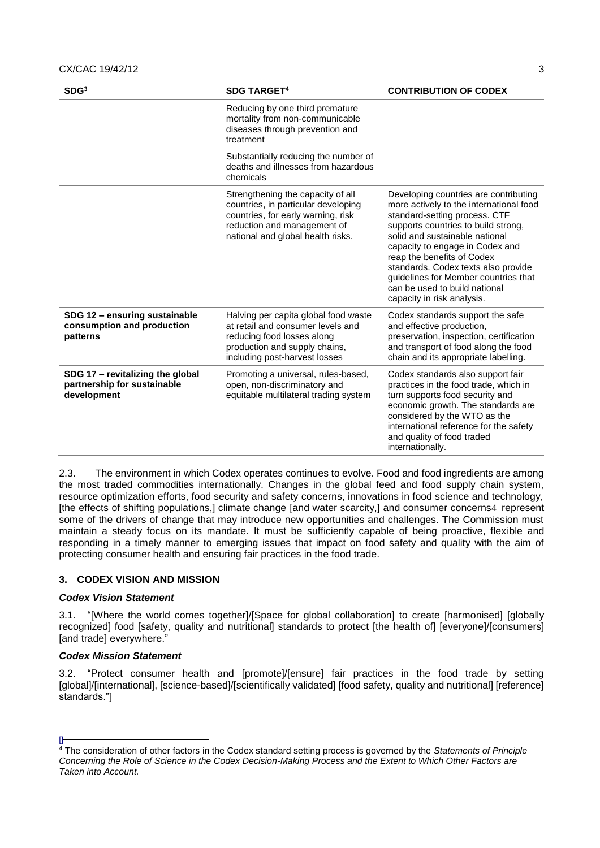| SDG <sup>3</sup>                                                               | <b>SDG TARGET<sup>4</sup></b>                                                                                                                                                      | <b>CONTRIBUTION OF CODEX</b>                                                                                                                                                                                                                                                                                                                                                                              |
|--------------------------------------------------------------------------------|------------------------------------------------------------------------------------------------------------------------------------------------------------------------------------|-----------------------------------------------------------------------------------------------------------------------------------------------------------------------------------------------------------------------------------------------------------------------------------------------------------------------------------------------------------------------------------------------------------|
|                                                                                | Reducing by one third premature<br>mortality from non-communicable<br>diseases through prevention and<br>treatment                                                                 |                                                                                                                                                                                                                                                                                                                                                                                                           |
|                                                                                | Substantially reducing the number of<br>deaths and illnesses from hazardous<br>chemicals                                                                                           |                                                                                                                                                                                                                                                                                                                                                                                                           |
|                                                                                | Strengthening the capacity of all<br>countries, in particular developing<br>countries, for early warning, risk<br>reduction and management of<br>national and global health risks. | Developing countries are contributing<br>more actively to the international food<br>standard-setting process. CTF<br>supports countries to build strong,<br>solid and sustainable national<br>capacity to engage in Codex and<br>reap the benefits of Codex<br>standards. Codex texts also provide<br>guidelines for Member countries that<br>can be used to build national<br>capacity in risk analysis. |
| SDG 12 - ensuring sustainable<br>consumption and production<br>patterns        | Halving per capita global food waste<br>at retail and consumer levels and<br>reducing food losses along<br>production and supply chains,<br>including post-harvest losses          | Codex standards support the safe<br>and effective production,<br>preservation, inspection, certification<br>and transport of food along the food<br>chain and its appropriate labelling.                                                                                                                                                                                                                  |
| SDG 17 - revitalizing the global<br>partnership for sustainable<br>development | Promoting a universal, rules-based,<br>open, non-discriminatory and<br>equitable multilateral trading system                                                                       | Codex standards also support fair<br>practices in the food trade, which in<br>turn supports food security and<br>economic growth. The standards are<br>considered by the WTO as the<br>international reference for the safety<br>and quality of food traded<br>internationally.                                                                                                                           |

2.3. The environment in which Codex operates continues to evolve. Food and food ingredients are among the most traded commodities internationally. Changes in the global feed and food supply chain system, resource optimization efforts, food security and safety concerns, innovations in food science and technology, [the effects of shifting populations,] climate change [and water scarcity,] and consumer concerns4 represent some of the drivers of change that may introduce new opportunities and challenges. The Commission must maintain a steady focus on its mandate. It must be sufficiently capable of being proactive, flexible and responding in a timely manner to emerging issues that impact on food safety and quality with the aim of protecting consumer health and ensuring fair practices in the food trade.

## **3. CODEX VISION AND MISSION**

## *Codex Vision Statement*

3.1. "[Where the world comes together]/[Space for global collaboration] to create [harmonised] [globally recognized] food [safety, quality and nutritional] standards to protect [the health of] [everyone]/[consumers] [and trade] everywhere."

## *Codex Mission Statement*

3.2. "Protect consumer health and [promote]/[ensure] fair practices in the food trade by setting [global]/[international], [science-based]/[scientifically validated] [food safety, quality and nutritional] [reference] standards."]

 $\mathbb{I}$ <sup>4</sup> The consideration of other factors in the Codex standard setting process is governed by the *Statements of Principle Concerning the Role of Science in the Codex Decision-Making Process and the Extent to Which Other Factors are Taken into Account.*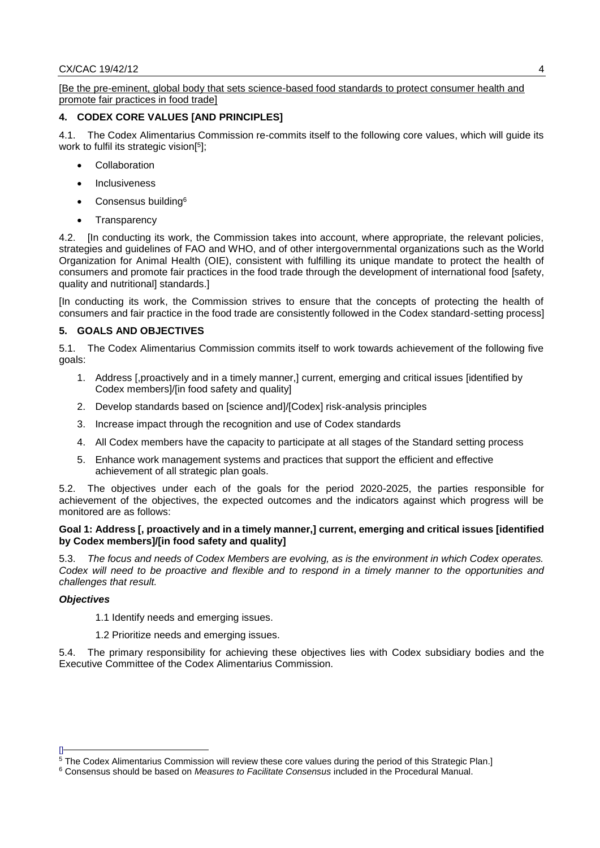[Be the pre-eminent, global body that sets science-based food standards to protect consumer health and promote fair practices in food trade]

# **4. CODEX CORE VALUES [AND PRINCIPLES]**

4.1. The Codex Alimentarius Commission re-commits itself to the following core values, which will guide its work to fulfil its strategic vision[ 5 ];

- Collaboration
- Inclusiveness
- Consensus building<sup>6</sup>
- **Transparency**

4.2. [In conducting its work, the Commission takes into account, where appropriate, the relevant policies, strategies and guidelines of FAO and WHO, and of other intergovernmental organizations such as the World Organization for Animal Health (OIE), consistent with fulfilling its unique mandate to protect the health of consumers and promote fair practices in the food trade through the development of international food [safety, quality and nutritional] standards.]

[In conducting its work, the Commission strives to ensure that the concepts of protecting the health of consumers and fair practice in the food trade are consistently followed in the Codex standard-setting process]

### **5. GOALS AND OBJECTIVES**

5.1. The Codex Alimentarius Commission commits itself to work towards achievement of the following five goals:

- 1. Address [,proactively and in a timely manner,] current, emerging and critical issues [identified by Codex members]/[in food safety and quality]
- 2. Develop standards based on [science and]/[Codex] risk-analysis principles
- 3. Increase impact through the recognition and use of Codex standards
- 4. All Codex members have the capacity to participate at all stages of the Standard setting process
- 5. Enhance work management systems and practices that support the efficient and effective achievement of all strategic plan goals.

5.2. The objectives under each of the goals for the period 2020-2025, the parties responsible for achievement of the objectives, the expected outcomes and the indicators against which progress will be monitored are as follows:

### **Goal 1: Address [, proactively and in a timely manner,] current, emerging and critical issues [identified by Codex members]/[in food safety and quality]**

5.3. *The focus and needs of Codex Members are evolving, as is the environment in which Codex operates. Codex will need to be proactive and flexible and to respond in a timely manner to the opportunities and challenges that result.*

### *Objectives*

 $\mathsf{I}$ 

- 1.1 Identify needs and emerging issues.
- 1.2 Prioritize needs and emerging issues.

The primary responsibility for achieving these objectives lies with Codex subsidiary bodies and the Executive Committee of the Codex Alimentarius Commission.

<sup>5</sup> The Codex Alimentarius Commission will review these core values during the period of this Strategic Plan.]

<sup>6</sup> Consensus should be based on *Measures to Facilitate Consensus* included in the Procedural Manual.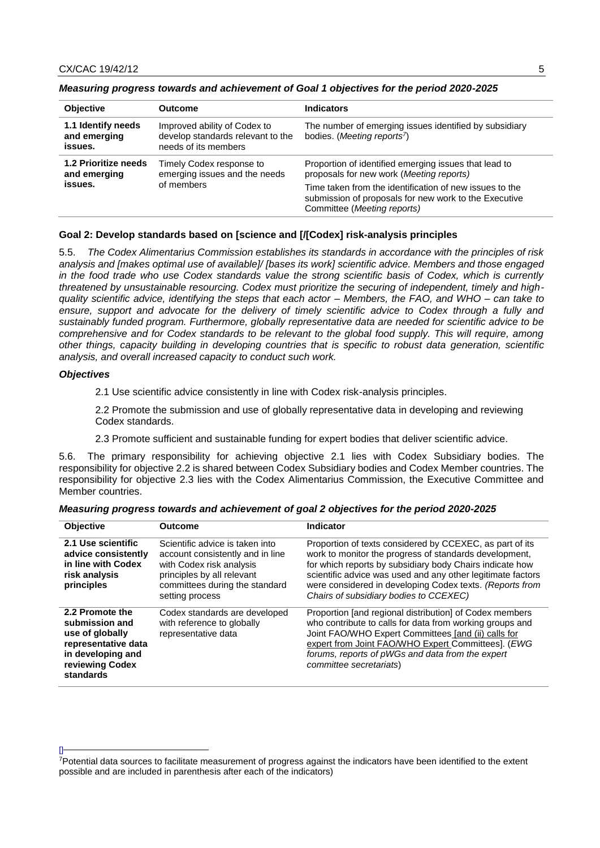| <b>Objective</b>                              | <b>Outcome</b>                                                                            | <b>Indicators</b>                                                                                                                                        |
|-----------------------------------------------|-------------------------------------------------------------------------------------------|----------------------------------------------------------------------------------------------------------------------------------------------------------|
| 1.1 Identify needs<br>and emerging<br>issues. | Improved ability of Codex to<br>develop standards relevant to the<br>needs of its members | The number of emerging issues identified by subsidiary<br>bodies. (Meeting reports <sup>7</sup> )                                                        |
| 1.2 Prioritize needs<br>and emerging          | Timely Codex response to<br>emerging issues and the needs                                 | Proportion of identified emerging issues that lead to<br>proposals for new work (Meeting reports)                                                        |
| of members<br>issues.                         |                                                                                           | Time taken from the identification of new issues to the<br>submission of proposals for new work to the Executive<br>Committee ( <i>Meeting reports</i> ) |

### *Measuring progress towards and achievement of Goal 1 objectives for the period 2020-2025*

### **Goal 2: Develop standards based on [science and [/[Codex] risk-analysis principles**

5.5. *The Codex Alimentarius Commission establishes its standards in accordance with the principles of risk analysis and [makes optimal use of available]/ [bases its work] scientific advice. Members and those engaged in the food trade who use Codex standards value the strong scientific basis of Codex, which is currently threatened by unsustainable resourcing. Codex must prioritize the securing of independent, timely and highquality scientific advice, identifying the steps that each actor – Members, the FAO, and WHO – can take to ensure, support and advocate for the delivery of timely scientific advice to Codex through a fully and sustainably funded program. Furthermore, globally representative data are needed for scientific advice to be comprehensive and for Codex standards to be relevant to the global food supply. This will require, among other things, capacity building in developing countries that is specific to robust data generation, scientific analysis, and overall increased capacity to conduct such work.*

#### *Objectives*

 $\mathbb{I}$ 

2.1 Use scientific advice consistently in line with Codex risk-analysis principles.

2.2 Promote the submission and use of globally representative data in developing and reviewing Codex standards.

2.3 Promote sufficient and sustainable funding for expert bodies that deliver scientific advice.

5.6. The primary responsibility for achieving objective 2.1 lies with Codex Subsidiary bodies. The responsibility for objective 2.2 is shared between Codex Subsidiary bodies and Codex Member countries. The responsibility for objective 2.3 lies with the Codex Alimentarius Commission, the Executive Committee and Member countries.

| <b>Objective</b>                                                                                                                 | <b>Outcome</b>                                                                                                                                                                     | Indicator                                                                                                                                                                                                                                                                                                                                           |
|----------------------------------------------------------------------------------------------------------------------------------|------------------------------------------------------------------------------------------------------------------------------------------------------------------------------------|-----------------------------------------------------------------------------------------------------------------------------------------------------------------------------------------------------------------------------------------------------------------------------------------------------------------------------------------------------|
| 2.1 Use scientific<br>advice consistently<br>in line with Codex<br>risk analysis<br>principles                                   | Scientific advice is taken into<br>account consistently and in line<br>with Codex risk analysis<br>principles by all relevant<br>committees during the standard<br>setting process | Proportion of texts considered by CCEXEC, as part of its<br>work to monitor the progress of standards development,<br>for which reports by subsidiary body Chairs indicate how<br>scientific advice was used and any other legitimate factors<br>were considered in developing Codex texts. (Reports from<br>Chairs of subsidiary bodies to CCEXEC) |
| 2.2 Promote the<br>submission and<br>use of globally<br>representative data<br>in developing and<br>reviewing Codex<br>standards | Codex standards are developed<br>with reference to globally<br>representative data                                                                                                 | Proportion [and regional distribution] of Codex members<br>who contribute to calls for data from working groups and<br>Joint FAO/WHO Expert Committees [and (ii) calls for<br>expert from Joint FAO/WHO Expert Committees]. (EWG<br>forums, reports of pWGs and data from the expert<br>committee secretariats)                                     |

| Measuring progress towards and achievement of goal 2 objectives for the period 2020-2025 |
|------------------------------------------------------------------------------------------|
|------------------------------------------------------------------------------------------|

<sup>7</sup>Potential data sources to facilitate measurement of progress against the indicators have been identified to the extent possible and are included in parenthesis after each of the indicators)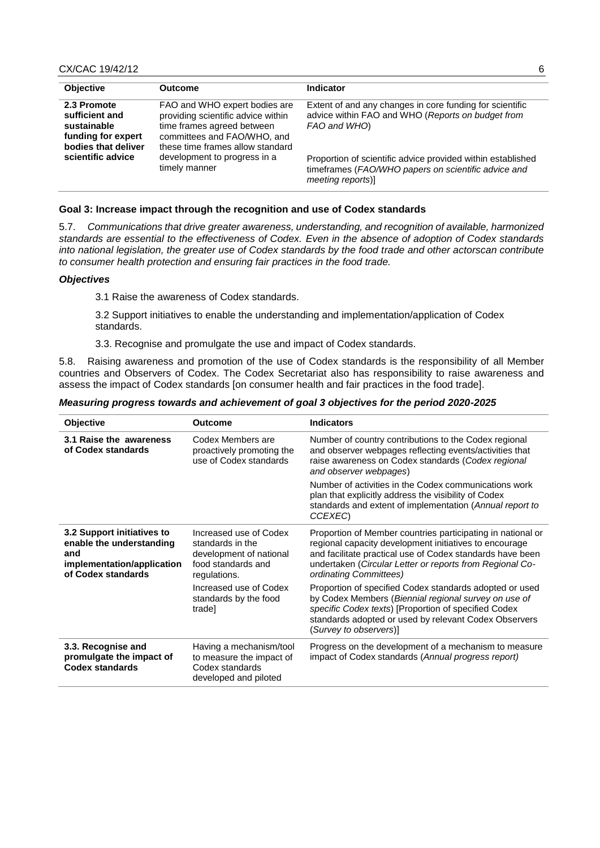| <b>Objective</b>                                                                          | <b>Outcome</b>                                                                                                                                                       | Indicator                                                                                                                               |
|-------------------------------------------------------------------------------------------|----------------------------------------------------------------------------------------------------------------------------------------------------------------------|-----------------------------------------------------------------------------------------------------------------------------------------|
| 2.3 Promote<br>sufficient and<br>sustainable<br>funding for expert<br>bodies that deliver | FAO and WHO expert bodies are<br>providing scientific advice within<br>time frames agreed between<br>committees and FAO/WHO, and<br>these time frames allow standard | Extent of and any changes in core funding for scientific<br>advice within FAO and WHO (Reports on budget from<br>FAO and WHO)           |
| scientific advice                                                                         | development to progress in a<br>timely manner                                                                                                                        | Proportion of scientific advice provided within established<br>timeframes (FAO/WHO papers on scientific advice and<br>meeting reports)] |

#### **Goal 3: Increase impact through the recognition and use of Codex standards**

5.7. *Communications that drive greater awareness, understanding, and recognition of available, harmonized standards are essential to the effectiveness of Codex. Even in the absence of adoption of Codex standards into national legislation, the greater use of Codex standards by the food trade and other actorscan contribute to consumer health protection and ensuring fair practices in the food trade.*

### *Objectives*

3.1 Raise the awareness of Codex standards.

3.2 Support initiatives to enable the understanding and implementation/application of Codex standards.

3.3. Recognise and promulgate the use and impact of Codex standards.

5.8. Raising awareness and promotion of the use of Codex standards is the responsibility of all Member countries and Observers of Codex. The Codex Secretariat also has responsibility to raise awareness and assess the impact of Codex standards [on consumer health and fair practices in the food trade].

*Measuring progress towards and achievement of goal 3 objectives for the period 2020-2025*

| Objective                                                                                                         | <b>Outcome</b>                                                                                              | <b>Indicators</b>                                                                                                                                                                                                                                                        |
|-------------------------------------------------------------------------------------------------------------------|-------------------------------------------------------------------------------------------------------------|--------------------------------------------------------------------------------------------------------------------------------------------------------------------------------------------------------------------------------------------------------------------------|
|                                                                                                                   |                                                                                                             |                                                                                                                                                                                                                                                                          |
| 3.1 Raise the awareness<br>of Codex standards                                                                     | Codex Members are<br>proactively promoting the<br>use of Codex standards                                    | Number of country contributions to the Codex regional<br>and observer webpages reflecting events/activities that<br>raise awareness on Codex standards (Codex regional<br>and observer webpages)                                                                         |
|                                                                                                                   |                                                                                                             | Number of activities in the Codex communications work<br>plan that explicitly address the visibility of Codex<br>standards and extent of implementation (Annual report to<br>CCEXEC)                                                                                     |
| 3.2 Support initiatives to<br>enable the understanding<br>and<br>implementation/application<br>of Codex standards | Increased use of Codex<br>standards in the<br>development of national<br>food standards and<br>regulations. | Proportion of Member countries participating in national or<br>regional capacity development initiatives to encourage<br>and facilitate practical use of Codex standards have been<br>undertaken (Circular Letter or reports from Regional Co-<br>ordinating Committees) |
|                                                                                                                   | Increased use of Codex<br>standards by the food<br>tradel                                                   | Proportion of specified Codex standards adopted or used<br>by Codex Members (Biennial regional survey on use of<br>specific Codex texts) [Proportion of specified Codex<br>standards adopted or used by relevant Codex Observers<br>(Survey to observers)]               |
| 3.3. Recognise and<br>promulgate the impact of<br><b>Codex standards</b>                                          | Having a mechanism/tool<br>to measure the impact of<br>Codex standards<br>developed and piloted             | Progress on the development of a mechanism to measure<br>impact of Codex standards (Annual progress report)                                                                                                                                                              |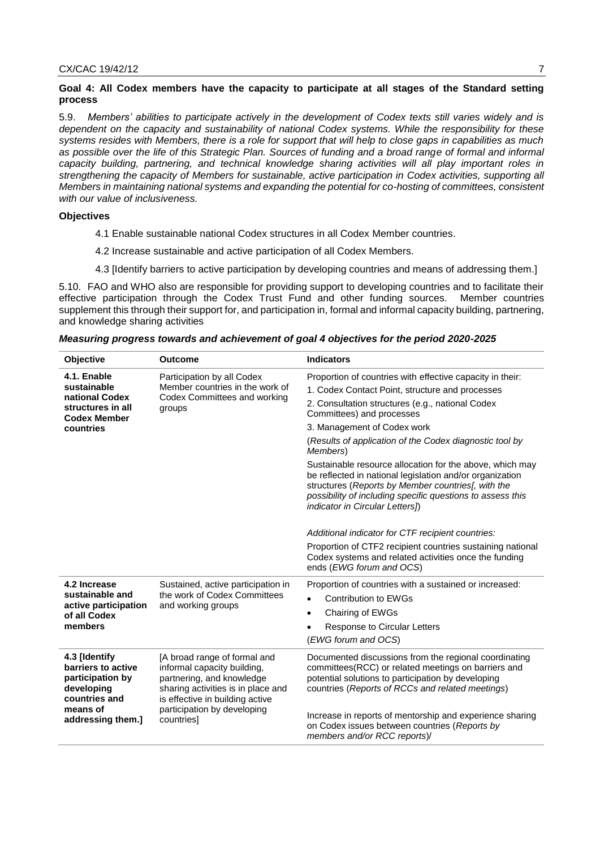### **Goal 4: All Codex members have the capacity to participate at all stages of the Standard setting process**

5.9. *Members' abilities to participate actively in the development of Codex texts still varies widely and is dependent on the capacity and sustainability of national Codex systems. While the responsibility for these systems resides with Members, there is a role for support that will help to close gaps in capabilities as much*  as possible over the life of this Strategic Plan. Sources of funding and a broad range of formal and informal *capacity building, partnering, and technical knowledge sharing activities will all play important roles in strengthening the capacity of Members for sustainable, active participation in Codex activities, supporting all Members in maintaining national systems and expanding the potential for co-hosting of committees, consistent with our value of inclusiveness.*

# **Objectives**

- 4.1 Enable sustainable national Codex structures in all Codex Member countries.
- 4.2 Increase sustainable and active participation of all Codex Members.
- 4.3 [Identify barriers to active participation by developing countries and means of addressing them.]

5.10. FAO and WHO also are responsible for providing support to developing countries and to facilitate their effective participation through the Codex Trust Fund and other funding sources. Member countries supplement this through their support for, and participation in, formal and informal capacity building, partnering, and knowledge sharing activities

| Objective                                                                                                                                                                                                                                                   | <b>Outcome</b>                                     | <b>Indicators</b>                                                                                                                                                                                                                                                           |
|-------------------------------------------------------------------------------------------------------------------------------------------------------------------------------------------------------------------------------------------------------------|----------------------------------------------------|-----------------------------------------------------------------------------------------------------------------------------------------------------------------------------------------------------------------------------------------------------------------------------|
| 4.1. Enable<br>sustainable                                                                                                                                                                                                                                  | Participation by all Codex                         | Proportion of countries with effective capacity in their:                                                                                                                                                                                                                   |
|                                                                                                                                                                                                                                                             | Member countries in the work of                    | 1. Codex Contact Point, structure and processes                                                                                                                                                                                                                             |
| national Codex<br>structures in all<br><b>Codex Member</b>                                                                                                                                                                                                  | Codex Committees and working<br>groups             | 2. Consultation structures (e.g., national Codex<br>Committees) and processes                                                                                                                                                                                               |
| countries                                                                                                                                                                                                                                                   |                                                    | 3. Management of Codex work                                                                                                                                                                                                                                                 |
|                                                                                                                                                                                                                                                             |                                                    | (Results of application of the Codex diagnostic tool by<br>Members)                                                                                                                                                                                                         |
|                                                                                                                                                                                                                                                             |                                                    | Sustainable resource allocation for the above, which may<br>be reflected in national legislation and/or organization<br>structures (Reports by Member countries), with the<br>possibility of including specific questions to assess this<br>indicator in Circular Letters]) |
|                                                                                                                                                                                                                                                             |                                                    | Additional indicator for CTF recipient countries:                                                                                                                                                                                                                           |
|                                                                                                                                                                                                                                                             |                                                    | Proportion of CTF2 recipient countries sustaining national<br>Codex systems and related activities once the funding<br>ends (EWG forum and OCS)                                                                                                                             |
| 4.2 Increase                                                                                                                                                                                                                                                | Sustained, active participation in                 | Proportion of countries with a sustained or increased:                                                                                                                                                                                                                      |
| sustainable and<br>active participation<br>of all Codex<br>members                                                                                                                                                                                          | the work of Codex Committees<br>and working groups | <b>Contribution to EWGs</b><br>$\bullet$                                                                                                                                                                                                                                    |
|                                                                                                                                                                                                                                                             |                                                    | Chairing of EWGs<br>٠                                                                                                                                                                                                                                                       |
|                                                                                                                                                                                                                                                             |                                                    | Response to Circular Letters                                                                                                                                                                                                                                                |
|                                                                                                                                                                                                                                                             |                                                    | (EWG forum and OCS)                                                                                                                                                                                                                                                         |
| 4.3 [Identify<br>[A broad range of formal and<br>barriers to active<br>informal capacity building,<br>participation by<br>partnering, and knowledge<br>developing<br>sharing activities is in place and<br>countries and<br>is effective in building active |                                                    | Documented discussions from the regional coordinating<br>committees(RCC) or related meetings on barriers and<br>potential solutions to participation by developing<br>countries (Reports of RCCs and related meetings)                                                      |
| means of<br>addressing them.]                                                                                                                                                                                                                               | participation by developing<br>countries]          | Increase in reports of mentorship and experience sharing<br>on Codex issues between countries (Reports by<br>members and/or RCC reports)/                                                                                                                                   |

*Measuring progress towards and achievement of goal 4 objectives for the period 2020-2025*